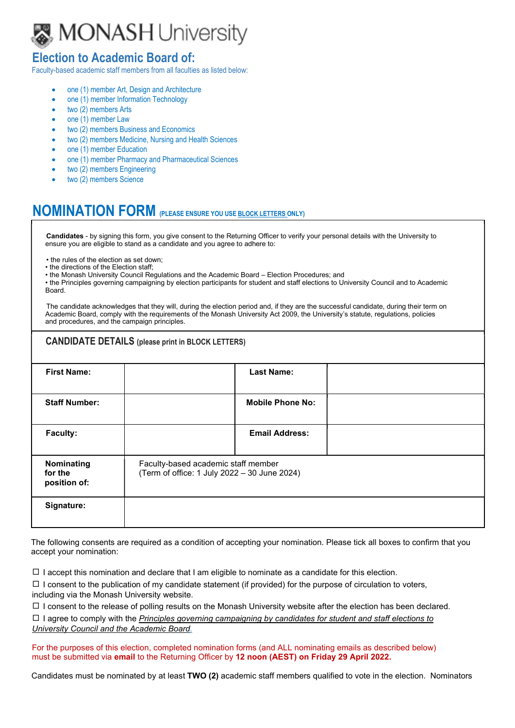

## Election to Academic Board of:

Faculty-based academic staff members from all faculties as listed below:

- one (1) member Art, Design and Architecture
- one (1) member Information Technology
- two (2) members Arts
- one (1) member Law
- two (2) members Business and Economics
- two (2) members Medicine, Nursing and Health Sciences
- one (1) member Education
- one (1) member Pharmacy and Pharmaceutical Sciences
- two (2) members Engineering
- two (2) members Science

## NOMINATION FORM (PLEASE ENSURE YOU USE BLOCK LETTERS ONLY)

Candidates - by signing this form, you give consent to the Returning Officer to verify your personal details with the University to ensure you are eligible to stand as a candidate and you agree to adhere to:

- the rules of the election as set down;
- the directions of the Election staff;
- the Monash University Council Regulations and the Academic Board Election Procedures; and

• the Principles governing campaigning by election participants for student and staff elections to University Council and to Academic Board.

The candidate acknowledges that they will, during the election period and, if they are the successful candidate, during their term on Academic Board, comply with the requirements of the Monash University Act 2009, the University's statute, regulations, policies and procedures, and the campaign principles.

| <b>CANDIDATE DETAILS</b> (please print in BLOCK LETTERS) |                                                                                     |                         |  |  |  |
|----------------------------------------------------------|-------------------------------------------------------------------------------------|-------------------------|--|--|--|
| <b>First Name:</b>                                       |                                                                                     | <b>Last Name:</b>       |  |  |  |
| <b>Staff Number:</b>                                     |                                                                                     | <b>Mobile Phone No:</b> |  |  |  |
| Faculty:                                                 |                                                                                     | <b>Email Address:</b>   |  |  |  |
| Nominating<br>for the<br>position of:                    | Faculty-based academic staff member<br>(Term of office: 1 July 2022 - 30 June 2024) |                         |  |  |  |
| Signature:                                               |                                                                                     |                         |  |  |  |

The following consents are required as a condition of accepting your nomination. Please tick all boxes to confirm that you accept your nomination:

 $\Box$  I accept this nomination and declare that I am eligible to nominate as a candidate for this election.

 $\Box$  I consent to the publication of my candidate statement (if provided) for the purpose of circulation to voters, including via the Monash University website.

 $\Box$  I consent to the release of polling results on the Monash University website after the election has been declared.

 $\Box$  I agree to comply with the Principles governing campaigning by candidates for student and staff elections to University Council and the Academic Board.

For the purposes of this election, completed nomination forms (and ALL nominating emails as described below)

must be submitted via **email** to the Returning Officer by 12 noon (AEST) on Friday 29 April 2022.<br>Candidates must be nominated by at least TWO (2) academic staff members qualified to vote in the election. Nominators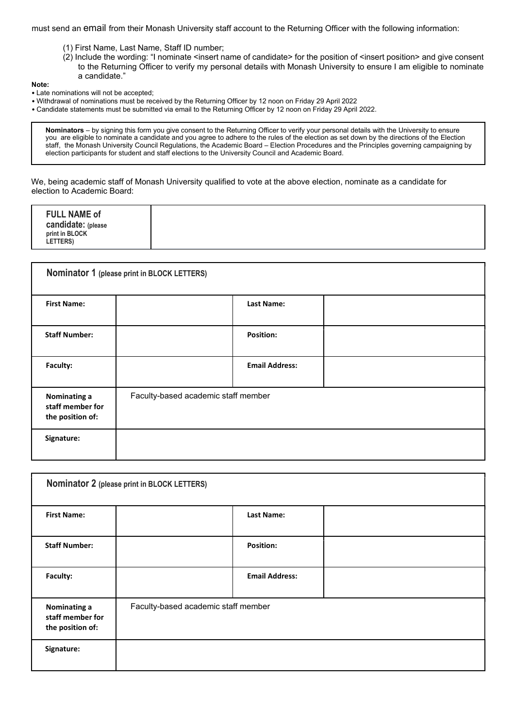must send an email from their Monash University staff account to the Returning Officer with the following information:

- (1) First Name, Last Name, Staff ID number;
- (2) Include the wording: "I nominate <insert name of candidate> for the position of <insert position> and give consent to the Returning Officer to verify my personal details with Monash University to ensure I am eligible to nominate a candidate."

## Note:

- Late nominations will not be accepted;
- Withdrawal of nominations must be received by the Returning Officer by 12 noon on Friday 29 April 2022
- Candidate statements must be submitted via email to the Returning Officer by 12 noon on Friday 29 April 2022.

Nominators – by signing this form you give consent to the Returning Officer to verify your personal details with the University to ensure you are eligible to nominate a candidate and you agree to adhere to the rules of the election as set down by the directions of the Election staff, the Monash University Council Regulations, the Academic Board – Election Procedures and the Principles governing campaigning by election participants for student and staff elections to the University Council and Academic Board.

We, being academic staff of Monash University qualified to vote at the above election, nominate as a candidate for election to Academic Board:

| <b>FULL NAME of</b><br>candidate: (please<br>print in BLOCK<br><b>LETTERS)</b> |
|--------------------------------------------------------------------------------|
|--------------------------------------------------------------------------------|

| Nominator 1 (please print in BLOCK LETTERS)          |                                     |                       |  |  |  |
|------------------------------------------------------|-------------------------------------|-----------------------|--|--|--|
| <b>First Name:</b>                                   |                                     | Last Name:            |  |  |  |
| <b>Staff Number:</b>                                 |                                     | <b>Position:</b>      |  |  |  |
| Faculty:                                             |                                     | <b>Email Address:</b> |  |  |  |
| Nominating a<br>staff member for<br>the position of: | Faculty-based academic staff member |                       |  |  |  |
| Signature:                                           |                                     |                       |  |  |  |

| Nominator 2 (please print in BLOCK LETTERS)          |                                     |                       |  |  |  |
|------------------------------------------------------|-------------------------------------|-----------------------|--|--|--|
| <b>First Name:</b>                                   |                                     | <b>Last Name:</b>     |  |  |  |
| <b>Staff Number:</b>                                 |                                     | <b>Position:</b>      |  |  |  |
| Faculty:                                             |                                     | <b>Email Address:</b> |  |  |  |
| Nominating a<br>staff member for<br>the position of: | Faculty-based academic staff member |                       |  |  |  |
| Signature:                                           |                                     |                       |  |  |  |